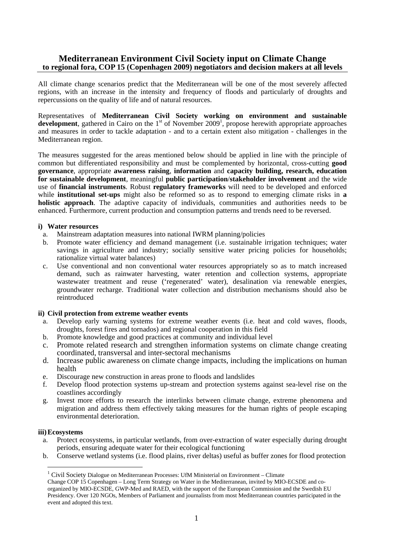# **Mediterranean Environment Civil Society input on Climate Change to regional fora, COP 15 (Copenhagen 2009) negotiators and decision makers at all levels**

All climate change scenarios predict that the Mediterranean will be one of the most severely affected regions, with an increase in the intensity and frequency of floods and particularly of droughts and repercussions on the quality of life and of natural resources.

Representatives of **Mediterranean Civil Society working on environment and sustainable**  development, gathered in Cairo on the  $1<sup>st</sup>$  of November 2009<sup>1</sup>, propose herewith appropriate approaches and measures in order to tackle adaptation - and to a certain extent also mitigation - challenges in the Mediterranean region.

The measures suggested for the areas mentioned below should be applied in line with the principle of common but differentiated responsibility and must be complemented by horizontal, cross-cutting **good governance**, appropriate **awareness raising**, **information** and **capacity building, research, education for sustainable development**, meaningful **public participation**/**stakeholder involvement** and the wide use of **financial instruments**. Robust **regulatory frameworks** will need to be developed and enforced while **institutional set-ups** might also be reformed so as to respond to emerging climate risks in **a holistic approach**. The adaptive capacity of individuals, communities and authorities needs to be enhanced. Furthermore, current production and consumption patterns and trends need to be reversed.

### **i) Water resources**

- a. Mainstream adaptation measures into national IWRM planning/policies
- b. Promote water efficiency and demand management (i.e. sustainable irrigation techniques; water savings in agriculture and industry; socially sensitive water pricing policies for households; rationalize virtual water balances)
- c. Use conventional and non conventional water resources appropriately so as to match increased demand, such as rainwater harvesting, water retention and collection systems, appropriate wastewater treatment and reuse ('regenerated' water), desalination via renewable energies, groundwater recharge. Traditional water collection and distribution mechanisms should also be reintroduced

# **ii) Civil protection from extreme weather events**

- a. Develop early warning systems for extreme weather events (i.e. heat and cold waves, floods, droughts, forest fires and tornados) and regional cooperation in this field
- b. Promote knowledge and good practices at community and individual level
- c. Promote related research and strengthen information systems on climate change creating coordinated, transversal and inter-sectoral mechanisms
- d. Increase public awareness on climate change impacts, including the implications on human health
- e. Discourage new construction in areas prone to floods and landslides
- f. Develop flood protection systems up-stream and protection systems against sea-level rise on the coastlines accordingly
- g. Invest more efforts to research the interlinks between climate change, extreme phenomena and migration and address them effectively taking measures for the human rights of people escaping environmental deterioration.

### **iii)Ecosystems**

1

- a. Protect ecosystems, in particular wetlands, from over-extraction of water especially during drought periods, ensuring adequate water for their ecological functioning
- b. Conserve wetland systems (i.e. flood plains, river deltas) useful as buffer zones for flood protection

<sup>&</sup>lt;sup>1</sup> Civil Society Dialogue on Mediterranean Processes: UfM Ministerial on Environment - Climate

Change COP 15 Copenhagen – Long Term Strategy on Water in the Mediterranean, invited by MIO-ECSDE and coorganized by MIO-ECSDE, GWP-Med and RAED, with the support of the European Commission and the Swedish EU Presidency. Over 120 NGOs, Members of Parliament and journalists from most Mediterranean countries participated in the event and adopted this text.